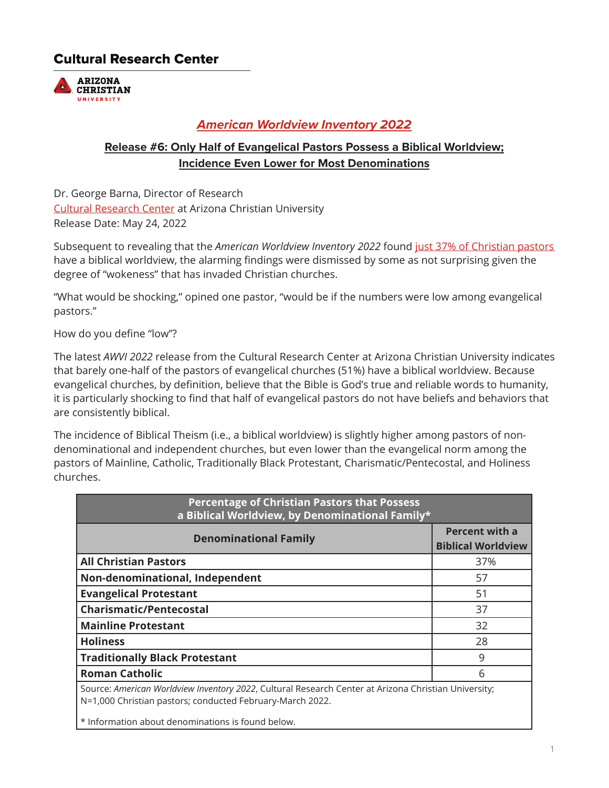# **Cultural Research Center**



# *[American Worldview Inventory 2022](https://www.arizonachristian.edu/culturalresearchcenter/research/)*

## **Release #6: Only Half of Evangelical Pastors Possess a Biblical Worldview; Incidence Even Lower for Most Denominations**

Dr. George Barna, Director of Research [Cultural Research Center](https://www.arizonachristian.edu/culturalresearchcenter) at Arizona Christian University Release Date: May 24, 2022

Subsequent to revealing that the *American Worldview Inventory 2022* found [just 37% of Christian pastors](https://www.arizonachristian.edu/wp-content/uploads/2022/05/AWVI2022_Release05_Digital.pdf)  have a biblical worldview, the alarming findings were dismissed by some as not surprising given the degree of "wokeness" that has invaded Christian churches.

"What would be shocking," opined one pastor, "would be if the numbers were low among evangelical pastors."

How do you define "low"?

The latest *AWVI 2022* release from the Cultural Research Center at Arizona Christian University indicates that barely one-half of the pastors of evangelical churches (51%) have a biblical worldview. Because evangelical churches, by definition, believe that the Bible is God's true and reliable words to humanity, it is particularly shocking to find that half of evangelical pastors do not have beliefs and behaviors that are consistently biblical.

The incidence of Biblical Theism (i.e., a biblical worldview) is slightly higher among pastors of nondenominational and independent churches, but even lower than the evangelical norm among the pastors of Mainline, Catholic, Traditionally Black Protestant, Charismatic/Pentecostal, and Holiness churches.

| <b>Percentage of Christian Pastors that Possess</b><br>a Biblical Worldview, by Denominational Family*                                                            |                                                    |  |  |  |  |
|-------------------------------------------------------------------------------------------------------------------------------------------------------------------|----------------------------------------------------|--|--|--|--|
| <b>Denominational Family</b>                                                                                                                                      | <b>Percent with a</b><br><b>Biblical Worldview</b> |  |  |  |  |
| <b>All Christian Pastors</b>                                                                                                                                      | 37%                                                |  |  |  |  |
| Non-denominational, Independent                                                                                                                                   | 57                                                 |  |  |  |  |
| <b>Evangelical Protestant</b>                                                                                                                                     | 51                                                 |  |  |  |  |
| <b>Charismatic/Pentecostal</b>                                                                                                                                    | 37                                                 |  |  |  |  |
| <b>Mainline Protestant</b>                                                                                                                                        | 32                                                 |  |  |  |  |
| <b>Holiness</b>                                                                                                                                                   | 28                                                 |  |  |  |  |
| <b>Traditionally Black Protestant</b>                                                                                                                             | 9                                                  |  |  |  |  |
| <b>Roman Catholic</b>                                                                                                                                             | 6                                                  |  |  |  |  |
| Source: American Worldview Inventory 2022, Cultural Research Center at Arizona Christian University;<br>N=1,000 Christian pastors; conducted February-March 2022. |                                                    |  |  |  |  |

\* Information about denominations is found below.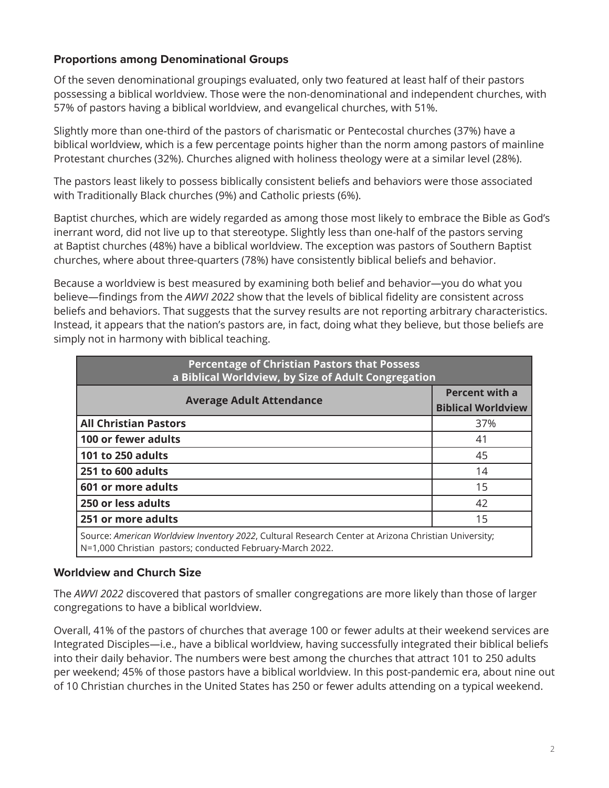## **Proportions among Denominational Groups**

Of the seven denominational groupings evaluated, only two featured at least half of their pastors possessing a biblical worldview. Those were the non-denominational and independent churches, with 57% of pastors having a biblical worldview, and evangelical churches, with 51%.

Slightly more than one-third of the pastors of charismatic or Pentecostal churches (37%) have a biblical worldview, which is a few percentage points higher than the norm among pastors of mainline Protestant churches (32%). Churches aligned with holiness theology were at a similar level (28%).

The pastors least likely to possess biblically consistent beliefs and behaviors were those associated with Traditionally Black churches (9%) and Catholic priests (6%).

Baptist churches, which are widely regarded as among those most likely to embrace the Bible as God's inerrant word, did not live up to that stereotype. Slightly less than one-half of the pastors serving at Baptist churches (48%) have a biblical worldview. The exception was pastors of Southern Baptist churches, where about three-quarters (78%) have consistently biblical beliefs and behavior.

Because a worldview is best measured by examining both belief and behavior—you do what you believe—findings from the *AWVI 2022* show that the levels of biblical fidelity are consistent across beliefs and behaviors. That suggests that the survey results are not reporting arbitrary characteristics. Instead, it appears that the nation's pastors are, in fact, doing what they believe, but those beliefs are simply not in harmony with biblical teaching.

| <b>Percentage of Christian Pastors that Possess</b><br>a Biblical Worldview, by Size of Adult Congregation                                                        |                                                    |  |  |  |  |
|-------------------------------------------------------------------------------------------------------------------------------------------------------------------|----------------------------------------------------|--|--|--|--|
| <b>Average Adult Attendance</b>                                                                                                                                   | <b>Percent with a</b><br><b>Biblical Worldview</b> |  |  |  |  |
| <b>All Christian Pastors</b>                                                                                                                                      | 37%                                                |  |  |  |  |
| 100 or fewer adults                                                                                                                                               | 41                                                 |  |  |  |  |
| <b>101 to 250 adults</b>                                                                                                                                          | 45                                                 |  |  |  |  |
| <b>251 to 600 adults</b>                                                                                                                                          | 14                                                 |  |  |  |  |
| 601 or more adults                                                                                                                                                | 15                                                 |  |  |  |  |
| 250 or less adults                                                                                                                                                | 42                                                 |  |  |  |  |
| 251 or more adults                                                                                                                                                | 15                                                 |  |  |  |  |
| Source: American Worldview Inventory 2022, Cultural Research Center at Arizona Christian University;<br>N=1,000 Christian pastors; conducted February-March 2022. |                                                    |  |  |  |  |

#### **Worldview and Church Size**

The *AWVI 2022* discovered that pastors of smaller congregations are more likely than those of larger congregations to have a biblical worldview.

Overall, 41% of the pastors of churches that average 100 or fewer adults at their weekend services are Integrated Disciples—i.e., have a biblical worldview, having successfully integrated their biblical beliefs into their daily behavior. The numbers were best among the churches that attract 101 to 250 adults per weekend; 45% of those pastors have a biblical worldview. In this post-pandemic era, about nine out of 10 Christian churches in the United States has 250 or fewer adults attending on a typical weekend.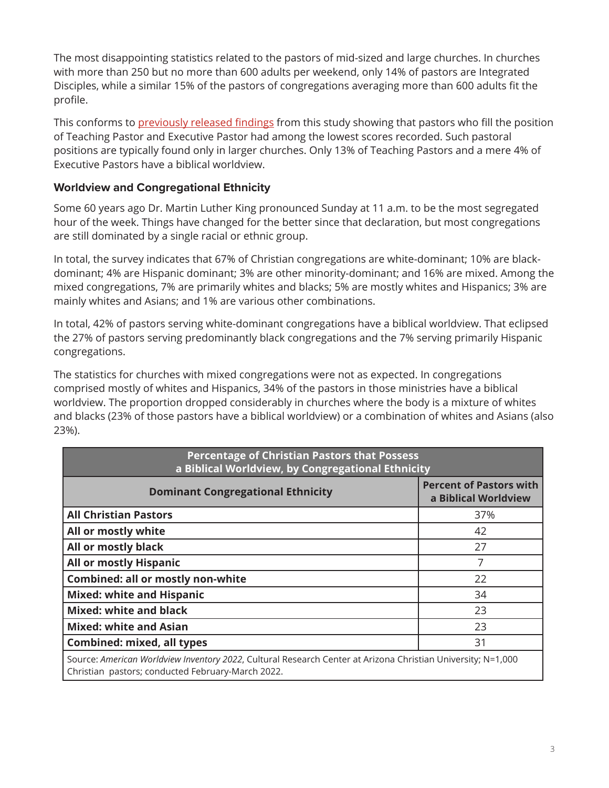The most disappointing statistics related to the pastors of mid-sized and large churches. In churches with more than 250 but no more than 600 adults per weekend, only 14% of pastors are Integrated Disciples, while a similar 15% of the pastors of congregations averaging more than 600 adults fit the profile.

This conforms to [previously released findings](https://www.arizonachristian.edu/wp-content/uploads/2022/05/AWVI2022_Release05_Digital.pdf) from this study showing that pastors who fill the position of Teaching Pastor and Executive Pastor had among the lowest scores recorded. Such pastoral positions are typically found only in larger churches. Only 13% of Teaching Pastors and a mere 4% of Executive Pastors have a biblical worldview.

### **Worldview and Congregational Ethnicity**

Some 60 years ago Dr. Martin Luther King pronounced Sunday at 11 a.m. to be the most segregated hour of the week. Things have changed for the better since that declaration, but most congregations are still dominated by a single racial or ethnic group.

In total, the survey indicates that 67% of Christian congregations are white-dominant; 10% are blackdominant; 4% are Hispanic dominant; 3% are other minority-dominant; and 16% are mixed. Among the mixed congregations, 7% are primarily whites and blacks; 5% are mostly whites and Hispanics; 3% are mainly whites and Asians; and 1% are various other combinations.

In total, 42% of pastors serving white-dominant congregations have a biblical worldview. That eclipsed the 27% of pastors serving predominantly black congregations and the 7% serving primarily Hispanic congregations.

The statistics for churches with mixed congregations were not as expected. In congregations comprised mostly of whites and Hispanics, 34% of the pastors in those ministries have a biblical worldview. The proportion dropped considerably in churches where the body is a mixture of whites and blacks (23% of those pastors have a biblical worldview) or a combination of whites and Asians (also 23%).

| <b>Percentage of Christian Pastors that Possess</b><br>a Biblical Worldview, by Congregational Ethnicity                                                          |                                                        |  |  |  |  |  |
|-------------------------------------------------------------------------------------------------------------------------------------------------------------------|--------------------------------------------------------|--|--|--|--|--|
| <b>Dominant Congregational Ethnicity</b>                                                                                                                          | <b>Percent of Pastors with</b><br>a Biblical Worldview |  |  |  |  |  |
| <b>All Christian Pastors</b>                                                                                                                                      | 37%                                                    |  |  |  |  |  |
| All or mostly white                                                                                                                                               | 42                                                     |  |  |  |  |  |
| All or mostly black                                                                                                                                               | 27                                                     |  |  |  |  |  |
| <b>All or mostly Hispanic</b>                                                                                                                                     | 7                                                      |  |  |  |  |  |
| <b>Combined: all or mostly non-white</b>                                                                                                                          | 22                                                     |  |  |  |  |  |
| <b>Mixed: white and Hispanic</b>                                                                                                                                  | 34                                                     |  |  |  |  |  |
| <b>Mixed: white and black</b>                                                                                                                                     | 23                                                     |  |  |  |  |  |
| <b>Mixed: white and Asian</b>                                                                                                                                     | 23                                                     |  |  |  |  |  |
| <b>Combined: mixed, all types</b>                                                                                                                                 | 31                                                     |  |  |  |  |  |
| Source: American Worldview Inventory 2022, Cultural Research Center at Arizona Christian University; N=1,000<br>Christian pastors; conducted February-March 2022. |                                                        |  |  |  |  |  |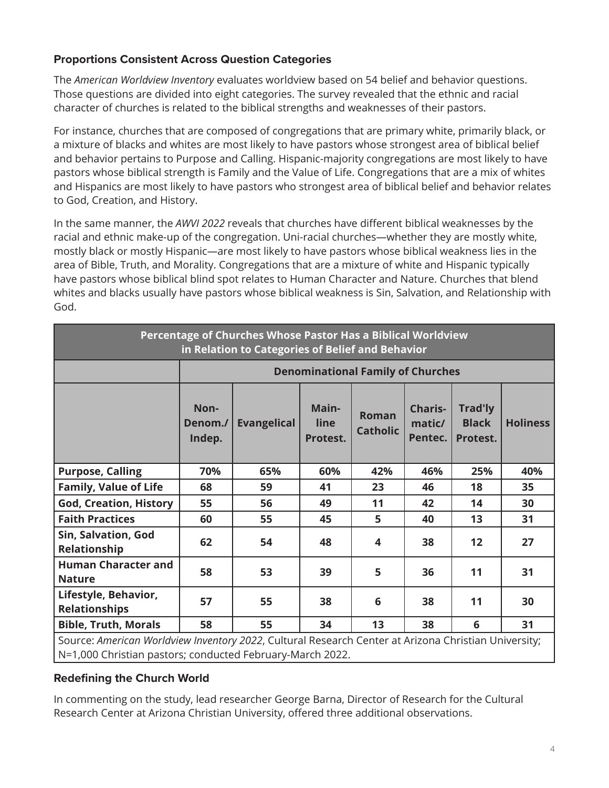# **Proportions Consistent Across Question Categories**

The *American Worldview Inventory* evaluates worldview based on 54 belief and behavior questions. Those questions are divided into eight categories. The survey revealed that the ethnic and racial character of churches is related to the biblical strengths and weaknesses of their pastors.

For instance, churches that are composed of congregations that are primary white, primarily black, or a mixture of blacks and whites are most likely to have pastors whose strongest area of biblical belief and behavior pertains to Purpose and Calling. Hispanic-majority congregations are most likely to have pastors whose biblical strength is Family and the Value of Life. Congregations that are a mix of whites and Hispanics are most likely to have pastors who strongest area of biblical belief and behavior relates to God, Creation, and History.

In the same manner, the *AWVI 2022* reveals that churches have different biblical weaknesses by the racial and ethnic make-up of the congregation. Uni-racial churches—whether they are mostly white, mostly black or mostly Hispanic—are most likely to have pastors whose biblical weakness lies in the area of Bible, Truth, and Morality. Congregations that are a mixture of white and Hispanic typically have pastors whose biblical blind spot relates to Human Character and Nature. Churches that blend whites and blacks usually have pastors whose biblical weakness is Sin, Salvation, and Relationship with God.

| Percentage of Churches Whose Pastor Has a Biblical Worldview<br>in Relation to Categories of Belief and Behavior                                                  |                                          |                    |                           |                          |                                     |                                            |                 |  |  |
|-------------------------------------------------------------------------------------------------------------------------------------------------------------------|------------------------------------------|--------------------|---------------------------|--------------------------|-------------------------------------|--------------------------------------------|-----------------|--|--|
|                                                                                                                                                                   | <b>Denominational Family of Churches</b> |                    |                           |                          |                                     |                                            |                 |  |  |
|                                                                                                                                                                   | Non-<br>Denom./<br>Indep.                | <b>Evangelical</b> | Main-<br>line<br>Protest. | Roman<br><b>Catholic</b> | <b>Charis-</b><br>matic/<br>Pentec. | <b>Trad'ly</b><br><b>Black</b><br>Protest. | <b>Holiness</b> |  |  |
| <b>Purpose, Calling</b>                                                                                                                                           | 70%                                      | 65%                | 60%                       | 42%                      | 46%                                 | 25%                                        | 40%             |  |  |
| <b>Family, Value of Life</b>                                                                                                                                      | 68                                       | 59                 | 41                        | 23                       | 46                                  | 18                                         | 35              |  |  |
| <b>God, Creation, History</b>                                                                                                                                     | 55                                       | 56                 | 49                        | 11                       | 42                                  | 14                                         | 30              |  |  |
| <b>Faith Practices</b>                                                                                                                                            | 60                                       | 55                 | 45                        | 5                        | 40                                  | 13                                         | 31              |  |  |
| Sin, Salvation, God<br><b>Relationship</b>                                                                                                                        | 62                                       | 54                 | 48                        | 4                        | 38                                  | 12                                         | 27              |  |  |
| <b>Human Character and</b><br><b>Nature</b>                                                                                                                       | 58                                       | 53                 | 39                        | 5                        | 36                                  | 11                                         | 31              |  |  |
| Lifestyle, Behavior,<br><b>Relationships</b>                                                                                                                      | 57                                       | 55                 | 38                        | 6                        | 38                                  | 11                                         | 30              |  |  |
| <b>Bible, Truth, Morals</b>                                                                                                                                       | 58                                       | 55                 | 34                        | 13                       | 38                                  | 6                                          | 31              |  |  |
| Source: American Worldview Inventory 2022, Cultural Research Center at Arizona Christian University;<br>N=1,000 Christian pastors; conducted February-March 2022. |                                          |                    |                           |                          |                                     |                                            |                 |  |  |

#### **Redefining the Church World**

In commenting on the study, lead researcher George Barna, Director of Research for the Cultural Research Center at Arizona Christian University, offered three additional observations.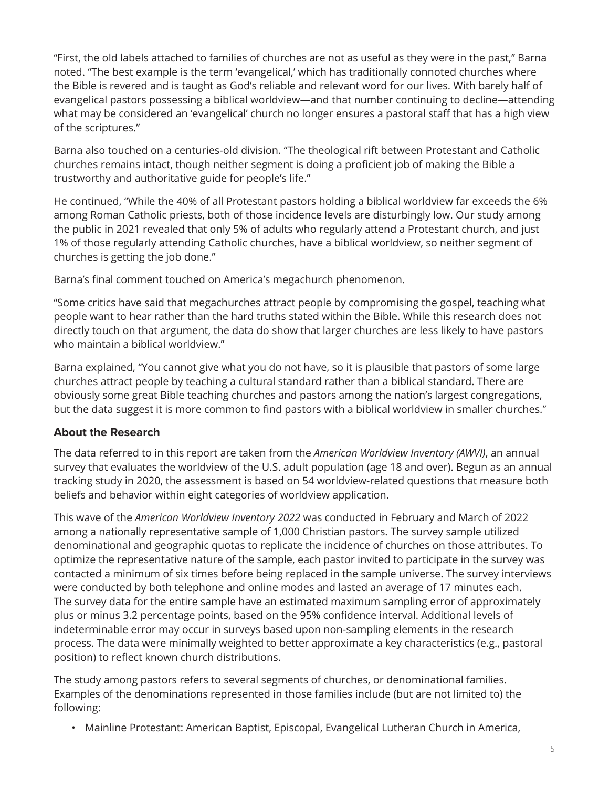"First, the old labels attached to families of churches are not as useful as they were in the past," Barna noted. "The best example is the term 'evangelical,' which has traditionally connoted churches where the Bible is revered and is taught as God's reliable and relevant word for our lives. With barely half of evangelical pastors possessing a biblical worldview—and that number continuing to decline—attending what may be considered an 'evangelical' church no longer ensures a pastoral staff that has a high view of the scriptures."

Barna also touched on a centuries-old division. "The theological rift between Protestant and Catholic churches remains intact, though neither segment is doing a proficient job of making the Bible a trustworthy and authoritative guide for people's life."

He continued, "While the 40% of all Protestant pastors holding a biblical worldview far exceeds the 6% among Roman Catholic priests, both of those incidence levels are disturbingly low. Our study among the public in 2021 revealed that only 5% of adults who regularly attend a Protestant church, and just 1% of those regularly attending Catholic churches, have a biblical worldview, so neither segment of churches is getting the job done."

Barna's final comment touched on America's megachurch phenomenon.

"Some critics have said that megachurches attract people by compromising the gospel, teaching what people want to hear rather than the hard truths stated within the Bible. While this research does not directly touch on that argument, the data do show that larger churches are less likely to have pastors who maintain a biblical worldview."

Barna explained, "You cannot give what you do not have, so it is plausible that pastors of some large churches attract people by teaching a cultural standard rather than a biblical standard. There are obviously some great Bible teaching churches and pastors among the nation's largest congregations, but the data suggest it is more common to find pastors with a biblical worldview in smaller churches."

## **About the Research**

The data referred to in this report are taken from the *American Worldview Inventory (AWVI)*, an annual survey that evaluates the worldview of the U.S. adult population (age 18 and over). Begun as an annual tracking study in 2020, the assessment is based on 54 worldview-related questions that measure both beliefs and behavior within eight categories of worldview application.

This wave of the *American Worldview Inventory 2022* was conducted in February and March of 2022 among a nationally representative sample of 1,000 Christian pastors. The survey sample utilized denominational and geographic quotas to replicate the incidence of churches on those attributes. To optimize the representative nature of the sample, each pastor invited to participate in the survey was contacted a minimum of six times before being replaced in the sample universe. The survey interviews were conducted by both telephone and online modes and lasted an average of 17 minutes each. The survey data for the entire sample have an estimated maximum sampling error of approximately plus or minus 3.2 percentage points, based on the 95% confidence interval. Additional levels of indeterminable error may occur in surveys based upon non-sampling elements in the research process. The data were minimally weighted to better approximate a key characteristics (e.g., pastoral position) to reflect known church distributions.

The study among pastors refers to several segments of churches, or denominational families. Examples of the denominations represented in those families include (but are not limited to) the following:

• Mainline Protestant: American Baptist, Episcopal, Evangelical Lutheran Church in America,